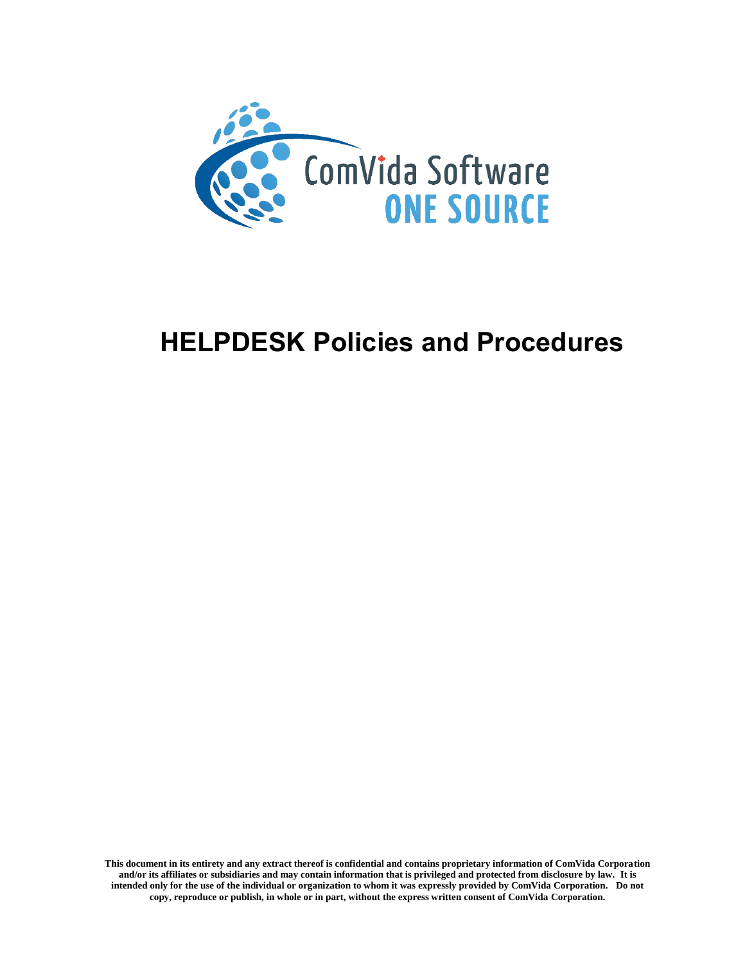

# **HELPDESK Policies and Procedures**

**This document in its entirety and any extract thereof is confidential and contains proprietary information of ComVida Corporation and/or its affiliates or subsidiaries and may contain information that is privileged and protected from disclosure by law. It is intended only for the use of the individual or organization to whom it was expressly provided by ComVida Corporation. Do not copy, reproduce or publish, in whole or in part, without the express written consent of ComVida Corporation.**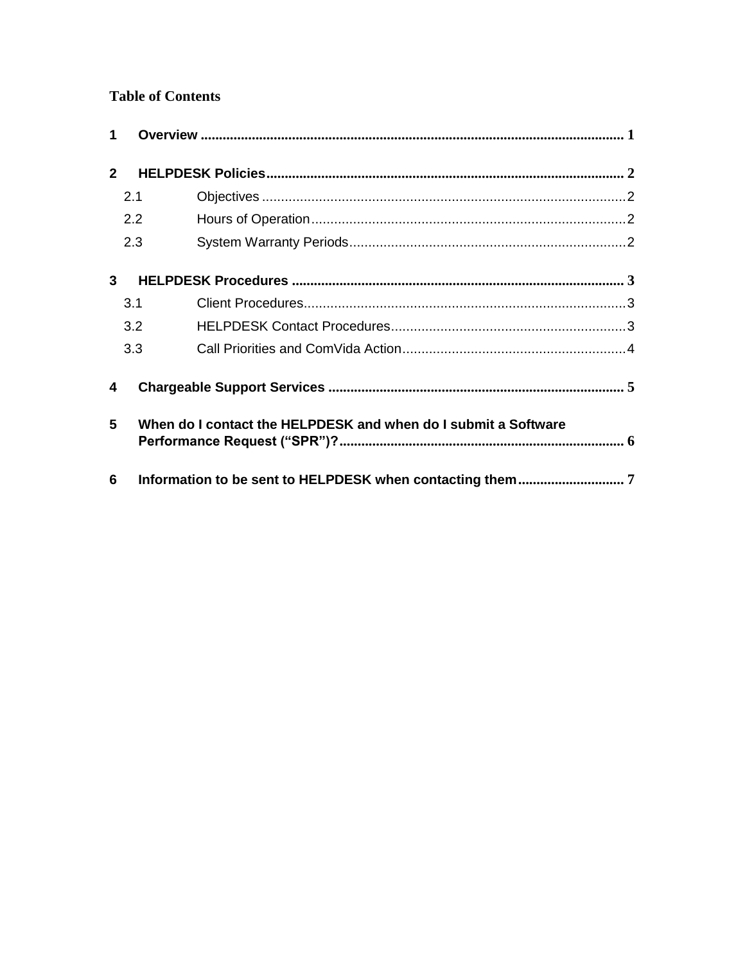## **Table of Contents**

| 1           |                                                                |  |  |
|-------------|----------------------------------------------------------------|--|--|
| $2^{\circ}$ |                                                                |  |  |
|             | 2.1                                                            |  |  |
|             | 2.2                                                            |  |  |
|             | 2.3                                                            |  |  |
| 3           |                                                                |  |  |
|             | 3.1                                                            |  |  |
|             | 3.2                                                            |  |  |
|             | 3.3                                                            |  |  |
| 4           |                                                                |  |  |
| 5           | When do I contact the HELPDESK and when do I submit a Software |  |  |
| 6           |                                                                |  |  |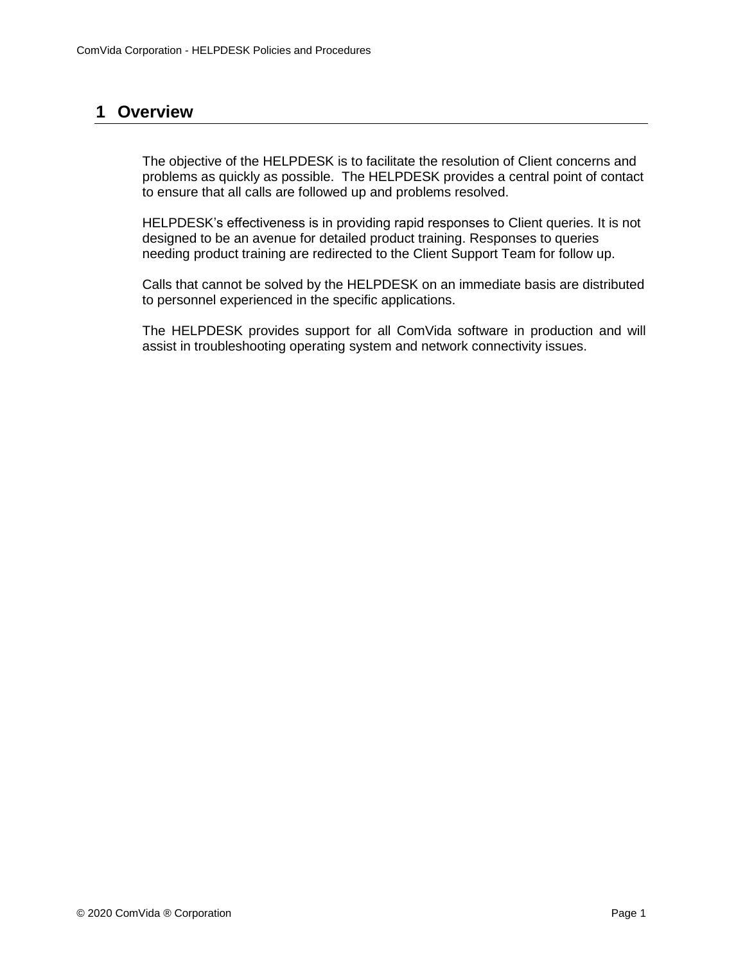## <span id="page-2-0"></span>**1 Overview**

The objective of the HELPDESK is to facilitate the resolution of Client concerns and problems as quickly as possible. The HELPDESK provides a central point of contact to ensure that all calls are followed up and problems resolved.

HELPDESK's effectiveness is in providing rapid responses to Client queries. It is not designed to be an avenue for detailed product training. Responses to queries needing product training are redirected to the Client Support Team for follow up.

Calls that cannot be solved by the HELPDESK on an immediate basis are distributed to personnel experienced in the specific applications.

The HELPDESK provides support for all ComVida software in production and will assist in troubleshooting operating system and network connectivity issues.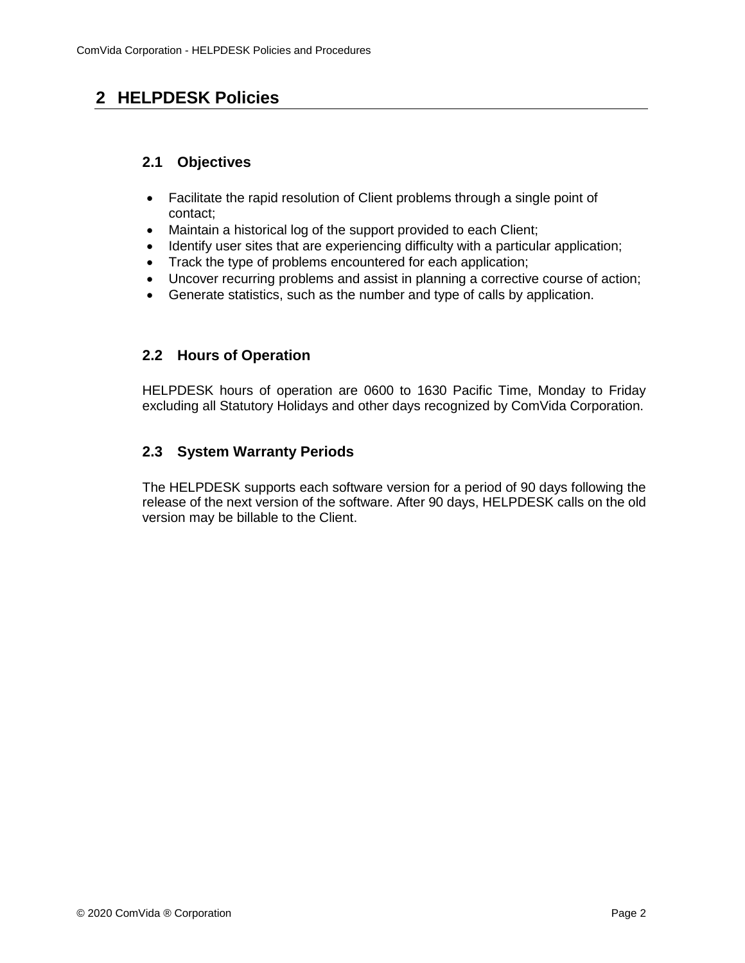## <span id="page-3-1"></span><span id="page-3-0"></span>**2 HELPDESK Policies**

#### **2.1 Objectives**

- Facilitate the rapid resolution of Client problems through a single point of contact;
- Maintain a historical log of the support provided to each Client;
- Identify user sites that are experiencing difficulty with a particular application;
- Track the type of problems encountered for each application;
- Uncover recurring problems and assist in planning a corrective course of action;
- Generate statistics, such as the number and type of calls by application.

#### <span id="page-3-2"></span>**2.2 Hours of Operation**

HELPDESK hours of operation are 0600 to 1630 Pacific Time, Monday to Friday excluding all Statutory Holidays and other days recognized by ComVida Corporation.

### <span id="page-3-3"></span>**2.3 System Warranty Periods**

The HELPDESK supports each software version for a period of 90 days following the release of the next version of the software. After 90 days, HELPDESK calls on the old version may be billable to the Client.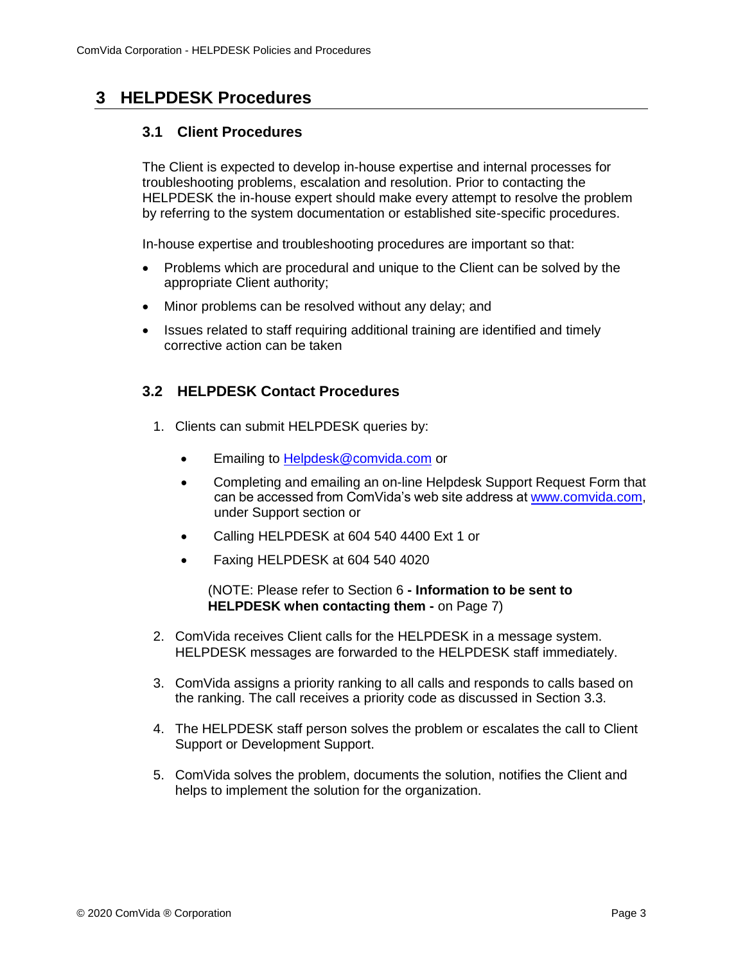## <span id="page-4-1"></span><span id="page-4-0"></span>**3 HELPDESK Procedures**

#### **3.1 Client Procedures**

The Client is expected to develop in-house expertise and internal processes for troubleshooting problems, escalation and resolution. Prior to contacting the HELPDESK the in-house expert should make every attempt to resolve the problem by referring to the system documentation or established site-specific procedures.

In-house expertise and troubleshooting procedures are important so that:

- Problems which are procedural and unique to the Client can be solved by the appropriate Client authority;
- Minor problems can be resolved without any delay; and
- Issues related to staff requiring additional training are identified and timely corrective action can be taken

#### <span id="page-4-2"></span>**3.2 HELPDESK Contact Procedures**

- 1. Clients can submit HELPDESK queries by:
	- Emailing to [Helpdesk@comvida.com](mailto:Helpdesk@comvida.com) or
	- Completing and emailing an on-line Helpdesk Support Request Form that can be accessed from ComVida's web site address at [www.comvida.com,](http://www.comvida.com/) under Support section or
	- Calling HELPDESK at 604 540 4400 Ext 1 or
	- Faxing HELPDESK at 604 540 4020

#### (NOTE: Please refer to Section 6 **- Information to be sent to HELPDESK when contacting them -** on Page 7)

- 2. ComVida receives Client calls for the HELPDESK in a message system. HELPDESK messages are forwarded to the HELPDESK staff immediately.
- 3. ComVida assigns a priority ranking to all calls and responds to calls based on the ranking. The call receives a priority code as discussed in Section 3.3.
- 4. The HELPDESK staff person solves the problem or escalates the call to Client Support or Development Support.
- 5. ComVida solves the problem, documents the solution, notifies the Client and helps to implement the solution for the organization.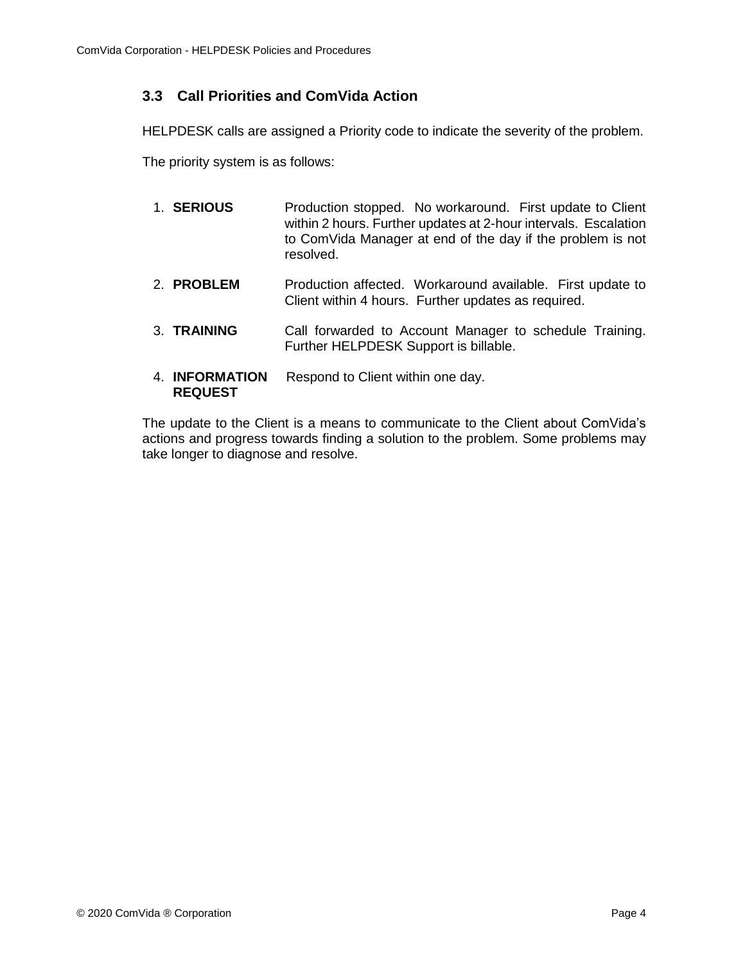### <span id="page-5-0"></span>**3.3 Call Priorities and ComVida Action**

HELPDESK calls are assigned a Priority code to indicate the severity of the problem.

The priority system is as follows:

- 1. **SERIOUS** Production stopped. No workaround. First update to Client within 2 hours. Further updates at 2-hour intervals. Escalation to ComVida Manager at end of the day if the problem is not resolved.
- 2. **PROBLEM** Production affected. Workaround available. First update to Client within 4 hours. Further updates as required.
- 3. **TRAINING** Call forwarded to Account Manager to schedule Training. Further HELPDESK Support is billable.
- 4. **INFORMATION** Respond to Client within one day. **REQUEST**

The update to the Client is a means to communicate to the Client about ComVida's actions and progress towards finding a solution to the problem. Some problems may take longer to diagnose and resolve.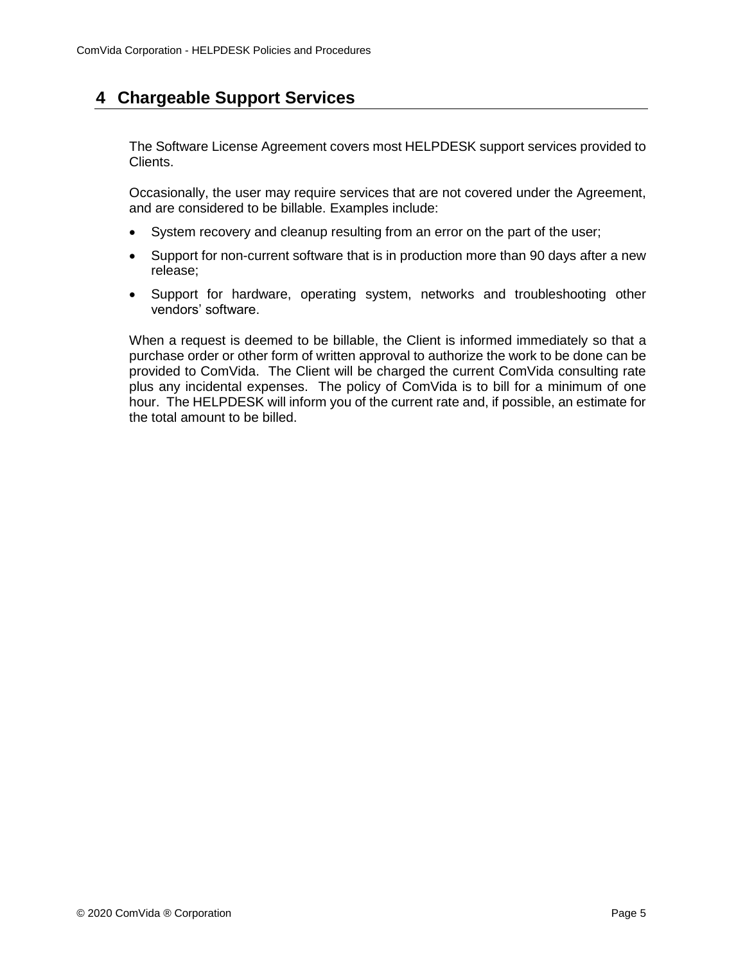## <span id="page-6-0"></span>**4 Chargeable Support Services**

The Software License Agreement covers most HELPDESK support services provided to Clients.

Occasionally, the user may require services that are not covered under the Agreement, and are considered to be billable. Examples include:

- System recovery and cleanup resulting from an error on the part of the user;
- Support for non-current software that is in production more than 90 days after a new release;
- Support for hardware, operating system, networks and troubleshooting other vendors' software.

When a request is deemed to be billable, the Client is informed immediately so that a purchase order or other form of written approval to authorize the work to be done can be provided to ComVida. The Client will be charged the current ComVida consulting rate plus any incidental expenses. The policy of ComVida is to bill for a minimum of one hour. The HELPDESK will inform you of the current rate and, if possible, an estimate for the total amount to be billed.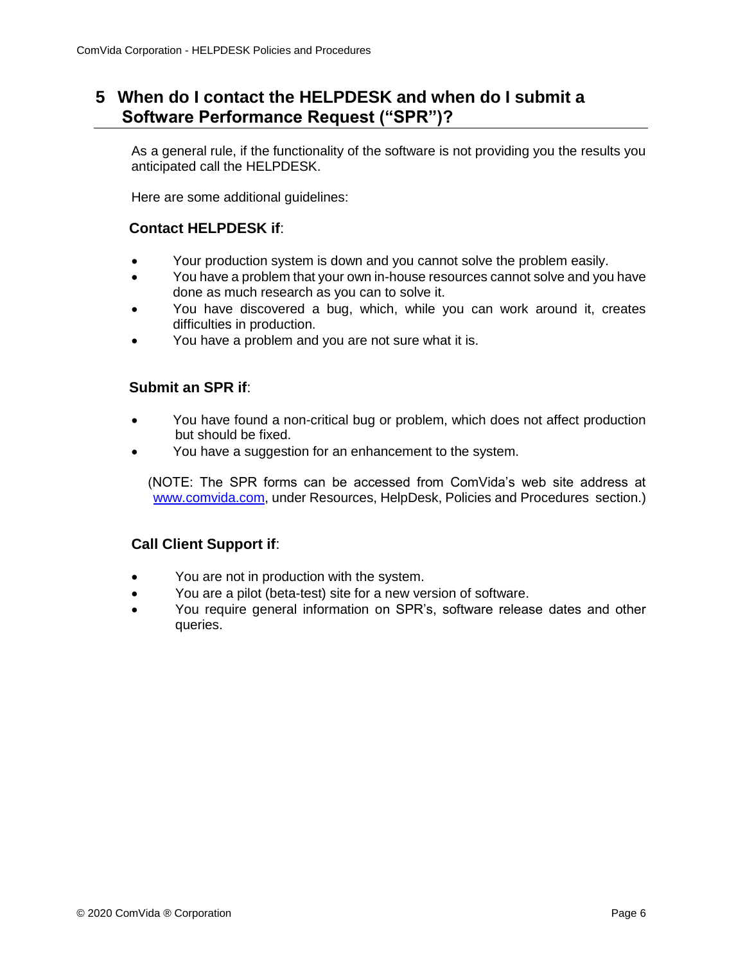## <span id="page-7-0"></span>**5 When do I contact the HELPDESK and when do I submit a Software Performance Request ("SPR")?**

As a general rule, if the functionality of the software is not providing you the results you anticipated call the HELPDESK.

Here are some additional guidelines:

#### **Contact HELPDESK if**:

- Your production system is down and you cannot solve the problem easily.
- You have a problem that your own in-house resources cannot solve and you have done as much research as you can to solve it.
- You have discovered a bug, which, while you can work around it, creates difficulties in production.
- You have a problem and you are not sure what it is.

#### **Submit an SPR if**:

- You have found a non-critical bug or problem, which does not affect production but should be fixed.
- You have a suggestion for an enhancement to the system.

(NOTE: The SPR forms can be accessed from ComVida's web site address at [www.comvida.com,](http://www.comvida.com/) under Resources, HelpDesk, Policies and Procedures section.)

#### **Call Client Support if**:

- You are not in production with the system.
- You are a pilot (beta-test) site for a new version of software.
- You require general information on SPR's, software release dates and other queries.